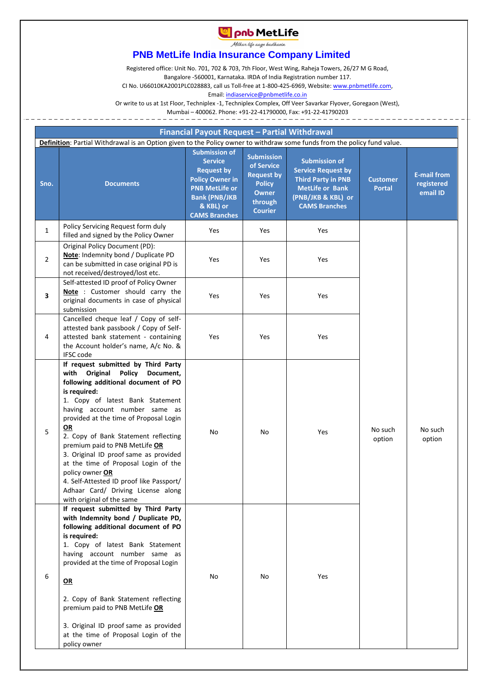

Milkar life aage badhaein

## **PNB MetLife India Insurance Company Limited**

Registered office: Unit No. 701, 702 & 703, 7th Floor, West Wing, Raheja Towers, 26/27 M G Road,

Bangalore -560001, Karnataka. IRDA of India Registration number 117.

CI No. U66010KA2001PLC028883, call us Toll-free at 1-800-425-6969, Website[: www.pnbmetlife.com,](http://www.pnbmetlife.com/)

Em[ail: indiaservice@pnbmetlife.co.i](mailto:indiaservice@pnbmetlife.co.in)n

Or write to us at 1st Floor, Techniplex -1, Techniplex Complex, Off Veer Savarkar Flyover, Goregaon (West),

- - - - - - - - - - - - - -

Mumbai – 400062. Phone: +91-22-41790000, Fax: +91-22-41790203

| Financial Payout Request - Partial Withdrawal |                                                                                                                                                                                                                                                                                                                                                                                                                                                                                                                                                                |                                                                                                                                                                             |                                                                                                                    |                                                                                                                                                        |                                  |                                              |  |  |  |  |
|-----------------------------------------------|----------------------------------------------------------------------------------------------------------------------------------------------------------------------------------------------------------------------------------------------------------------------------------------------------------------------------------------------------------------------------------------------------------------------------------------------------------------------------------------------------------------------------------------------------------------|-----------------------------------------------------------------------------------------------------------------------------------------------------------------------------|--------------------------------------------------------------------------------------------------------------------|--------------------------------------------------------------------------------------------------------------------------------------------------------|----------------------------------|----------------------------------------------|--|--|--|--|
| Sno.                                          | Definition: Partial Withdrawal is an Option given to the Policy owner to withdraw some funds from the policy fund value.<br><b>Documents</b>                                                                                                                                                                                                                                                                                                                                                                                                                   | <b>Submission of</b><br><b>Service</b><br><b>Request by</b><br><b>Policy Owner in</b><br><b>PNB MetLife or</b><br><b>Bank (PNB/JKB</b><br>& KBL) or<br><b>CAMS Branches</b> | <b>Submission</b><br>of Service<br><b>Request by</b><br><b>Policy</b><br><b>Owner</b><br>through<br><b>Courier</b> | <b>Submission of</b><br><b>Service Request by</b><br><b>Third Party in PNB</b><br><b>MetLife or Bank</b><br>(PNB/JKB & KBL) or<br><b>CAMS Branches</b> | <b>Customer</b><br><b>Portal</b> | <b>E-mail from</b><br>registered<br>email ID |  |  |  |  |
| $\mathbf{1}$                                  | Policy Servicing Request form duly<br>filled and signed by the Policy Owner                                                                                                                                                                                                                                                                                                                                                                                                                                                                                    | Yes                                                                                                                                                                         | Yes                                                                                                                | Yes                                                                                                                                                    |                                  |                                              |  |  |  |  |
| $\overline{2}$                                | Original Policy Document (PD):<br>Note: Indemnity bond / Duplicate PD<br>can be submitted in case original PD is<br>not received/destroyed/lost etc.                                                                                                                                                                                                                                                                                                                                                                                                           | Yes                                                                                                                                                                         | Yes                                                                                                                | Yes                                                                                                                                                    |                                  |                                              |  |  |  |  |
| 3                                             | Self-attested ID proof of Policy Owner<br>Note: Customer should carry the<br>original documents in case of physical<br>submission                                                                                                                                                                                                                                                                                                                                                                                                                              | Yes                                                                                                                                                                         | Yes                                                                                                                | Yes                                                                                                                                                    | No such<br>option                | No such<br>option                            |  |  |  |  |
| 4                                             | Cancelled cheque leaf / Copy of self-<br>attested bank passbook / Copy of Self-<br>attested bank statement - containing<br>the Account holder's name, A/c No. &<br><b>IFSC</b> code                                                                                                                                                                                                                                                                                                                                                                            | Yes                                                                                                                                                                         | Yes                                                                                                                | Yes                                                                                                                                                    |                                  |                                              |  |  |  |  |
| 5                                             | If request submitted by Third Party<br>Original<br><b>Policy</b><br>with<br>Document,<br>following additional document of PO<br>is required:<br>1. Copy of latest Bank Statement<br>having account number same as<br>provided at the time of Proposal Login<br>OR<br>2. Copy of Bank Statement reflecting<br>premium paid to PNB MetLife OR<br>3. Original ID proof same as provided<br>at the time of Proposal Login of the<br>policy owner OR<br>4. Self-Attested ID proof like Passport/<br>Adhaar Card/ Driving License along<br>with original of the same | No                                                                                                                                                                          | No                                                                                                                 | Yes                                                                                                                                                    |                                  |                                              |  |  |  |  |
| 6                                             | If request submitted by Third Party<br>with Indemnity bond / Duplicate PD,<br>following additional document of PO<br>is required:<br>1. Copy of latest Bank Statement<br>having account number same as<br>provided at the time of Proposal Login<br>$\mathbf{Q}$<br>2. Copy of Bank Statement reflecting<br>premium paid to PNB MetLife OR<br>3. Original ID proof same as provided<br>at the time of Proposal Login of the                                                                                                                                    | No                                                                                                                                                                          | No                                                                                                                 | Yes                                                                                                                                                    |                                  |                                              |  |  |  |  |